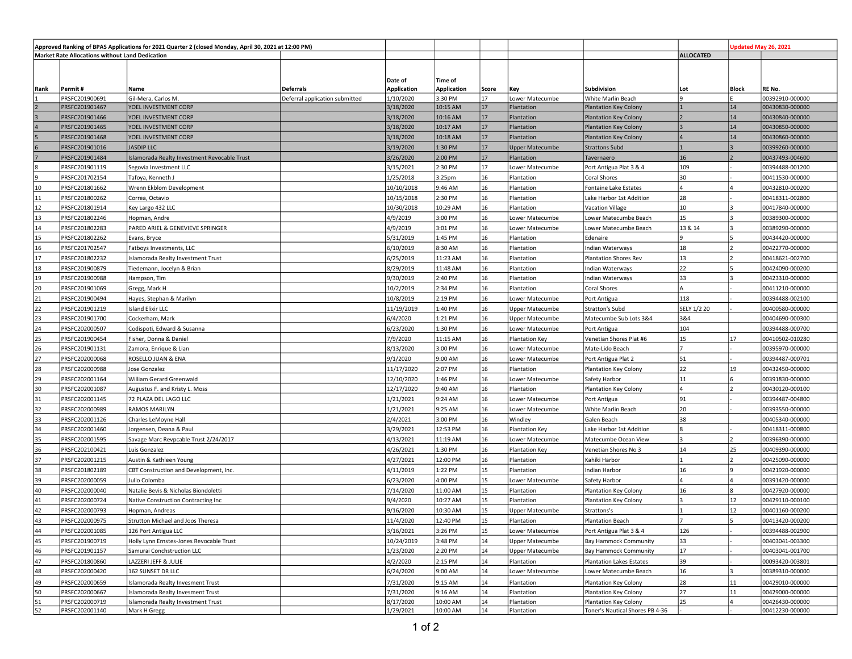| Approved Ranking of BPAS Applications for 2021 Quarter 2 (closed Monday, April 30, 2021 at 12:00 PM) |                                  |                                              |                                |                    |                    |       |                        |                                 | Jpdated May 26, 2021 |              |                 |
|------------------------------------------------------------------------------------------------------|----------------------------------|----------------------------------------------|--------------------------------|--------------------|--------------------|-------|------------------------|---------------------------------|----------------------|--------------|-----------------|
| <b>Market Rate Allocations without Land Dedication</b>                                               |                                  |                                              |                                |                    |                    |       |                        | <b>ALLOCATED</b>                |                      |              |                 |
|                                                                                                      |                                  |                                              |                                |                    |                    |       |                        |                                 |                      |              |                 |
|                                                                                                      |                                  |                                              |                                |                    |                    |       |                        |                                 |                      |              |                 |
|                                                                                                      |                                  |                                              |                                | Date of            | Time of            |       |                        |                                 |                      |              |                 |
| Rank                                                                                                 | Permit#                          | Name                                         | Deferrals                      | <b>Application</b> | <b>Application</b> | Score | Key                    | Subdivision                     | Lot                  | <b>Block</b> | RE No.          |
|                                                                                                      | PRSFC201900691                   | Gil-Mera, Carlos M.<br>YOEL INVESTMENT CORP  | Deferral application submitted | 1/10/2020          | 3:30 PM            | 17    | Lower Matecumbe        | White Marlin Beach              | ١q                   |              | 00392910-000000 |
|                                                                                                      | PRSFC201901467                   |                                              |                                | 3/18/2020          | 10:15 AM           | 17    | Plantation             | <b>Plantation Key Colony</b>    |                      | 14           | 00430830-000000 |
|                                                                                                      | PRSFC201901466                   | YOEL INVESTMENT CORP                         |                                | 3/18/2020          | 10:16 AM           | 17    | Plantation             | <b>Plantation Key Colony</b>    |                      | 14           | 00430840-000000 |
|                                                                                                      | PRSFC201901465                   | YOEL INVESTMENT CORP                         |                                | 3/18/2020          | 10:17 AM           | 17    | Plantation             | <b>Plantation Key Colony</b>    |                      | 14           | 00430850-000000 |
|                                                                                                      | PRSFC201901468                   | YOEL INVESTMENT CORP                         |                                | 3/18/2020          | 10:18 AM           | 17    | Plantation             | <b>Plantation Key Colony</b>    | I۵                   | 14           | 00430860-000000 |
|                                                                                                      | PRSFC201901016                   | <b>JASDIP LLC</b>                            |                                | 3/19/2020          | 1:30 PM            | 17    | <b>Upper Matecumbe</b> | <b>Strattons Subd</b>           |                      |              | 00399260-000000 |
|                                                                                                      | PRSFC201901484                   | Islamorada Realty Investment Revocable Trust |                                | 3/26/2020          | 2:00 PM            | 17    | Plantation             | Tavernaero                      | 16                   |              | 00437493-004600 |
|                                                                                                      | PRSFC201901119                   | Segovia Investment LLC                       |                                | 3/15/2021          | 2:30 PM            | 17    | Lower Matecumbe        | Port Antigua Plat 3 & 4         | 109                  |              | 00394488-001200 |
| ٩                                                                                                    | PRSFC201702154                   | Tafoya, Kenneth J                            |                                | 1/25/2018          | 3:25 <sub>pm</sub> | 16    | Plantation             | Coral Shores                    | 30                   |              | 00411530-000000 |
| 10                                                                                                   | PRSFC201801662                   | Wrenn Ekblom Development                     |                                | 10/10/2018         | 9:46 AM            | 16    | Plantation             | Fontaine Lake Estates           |                      |              | 00432810-000200 |
| 11                                                                                                   | PRSFC201800262                   | Correa, Octavio                              |                                | 10/15/2018         | 2:30 PM            | 16    | Plantation             | Lake Harbor 1st Addition        | 28                   |              | 00418311-002800 |
| 12                                                                                                   | PRSFC201801914                   | Key Largo 432 LLC                            |                                | 10/30/2018         | 10:29 AM           | 16    | Plantation             | <b>Vacation Village</b>         | 10                   |              | 00417840-000000 |
| 13                                                                                                   | PRSFC201802246                   | Hopman, Andre                                |                                | 4/9/2019           | 3:00 PM            | 16    | Lower Matecumbe        | Lower Matecumbe Beach           | 15                   |              | 00389300-000000 |
| 14                                                                                                   | PRSFC201802283                   | PARED ARIEL & GENEVIEVE SPRINGER             |                                | 4/9/2019           | 3:01 PM            | 16    | Lower Matecumbe        | Lower Matecumbe Beach           | 13 & 14              |              | 00389290-000000 |
| 15                                                                                                   | PRSFC201802262                   | Evans, Bryce                                 |                                | 5/31/2019          | 1:45 PM            | 16    | Plantation             | Edenaire                        |                      |              | 00434420-000000 |
| 16                                                                                                   | PRSFC201702547                   | Fatboys Investments, LLC                     |                                | 6/10/2019          | 8:30 AM            | 16    | Plantation             | Indian Waterways                | 18                   |              | 00422770-000000 |
| 17                                                                                                   | PRSFC201802232                   | Islamorada Realty Investment Trust           |                                | 6/25/2019          | 11:23 AM           | 16    | Plantation             | Plantation Shores Rev           | 13                   |              | 00418621-002700 |
| 18                                                                                                   | PRSFC201900879                   | Tiedemann, Jocelyn & Brian                   |                                | 8/29/2019          | 11:48 AM           | 16    | Plantation             | Indian Waterways                | 22                   |              | 00424090-000200 |
| 19                                                                                                   | PRSFC201900988                   | Hampson, Tim                                 |                                | 9/30/2019          | 2:40 PM            | 16    | Plantation             | Indian Waterways                | 33                   |              | 00423310-000000 |
| 20                                                                                                   | PRSFC201901069                   | Gregg, Mark H                                |                                | 10/2/2019          | 2:34 PM            | 16    | Plantation             | Coral Shores                    |                      |              | 00411210-000000 |
| 21                                                                                                   | PRSFC201900494                   | Hayes, Stephan & Marilyn                     |                                | 10/8/2019          | 2:19 PM            | 16    | Lower Matecumbe        | Port Antigua                    | 118                  |              | 00394488-002100 |
| 22                                                                                                   | PRSFC201901219                   | <b>Island Elixir LLC</b>                     |                                | 11/19/2019         | 1:40 PM            | 16    | Upper Matecumbe        | Stratton's Subd                 | SELY 1/2 20          |              | 00400580-000000 |
| 23                                                                                                   | PRSFC201901700                   | Cockerham, Mark                              |                                | 6/4/2020           | 1:21 PM            | 16    | Upper Matecumbe        | Matecumbe Sub Lots 3&4          | 3&4                  |              | 00404690-000300 |
| 24                                                                                                   | PRSFC202000507                   | Codispoti, Edward & Susanna                  |                                | 6/23/2020          | 1:30 PM            | 16    | Lower Matecumbe        | Port Antigua                    | 104                  |              | 00394488-000700 |
| 25                                                                                                   | PRSFC201900454                   | Fisher, Donna & Daniel                       |                                | 7/9/2020           | 11:15 AM           | 16    | Plantation Key         | Venetian Shores Plat #6         | 15                   | 17           | 00410502-010280 |
| 26                                                                                                   | PRSFC201901131                   | Zamora, Enrique & Lian                       |                                | 8/13/2020          | 3:00 PM            | 16    | Lower Matecumbe        | Mate-Lido Beach                 |                      |              | 00395970-000000 |
| 27                                                                                                   | PRSFC202000068                   | ROSELLO JUAN & ENA                           |                                | 9/1/2020           | 9:00 AM            | 16    | Lower Matecumbe        | Port Antigua Plat 2             | 51                   |              | 00394487-000701 |
| 28                                                                                                   | PRSFC202000988                   | Jose Gonzalez                                |                                | 11/17/2020         | 2:07 PM            | 16    | Plantation             | Plantation Key Colony           | 22                   | 19           | 00432450-000000 |
| 29                                                                                                   | PRSFC202001164                   | William Gerard Greenwald                     |                                | 12/10/2020         | 1:46 PM            | 16    | Lower Matecumbe        | Safety Harbor                   | 11                   |              | 00391830-000000 |
| 30                                                                                                   | PRSFC202001087                   | Augustus F. and Kristy L. Moss               |                                | 12/17/2020         | 9:40 AM            | 16    | Plantation             | Plantation Key Colony           | $\Delta$             |              | 00430120-000100 |
| 31                                                                                                   | PRSFC202001145                   | 72 PLAZA DEL LAGO LLC                        |                                | 1/21/2021          | 9:24 AM            | 16    | ower Matecumbe         | Port Antigua                    | 91                   |              | 00394487-004800 |
| 32                                                                                                   | PRSFC202000989                   | RAMOS MARILYN                                |                                | 1/21/2021          | 9:25 AM            | 16    | Lower Matecumbe        | White Marlin Beach              | 20                   |              | 00393550-000000 |
| 33                                                                                                   | PRSFC202001126                   | Charles LeMoyne Hall                         |                                | 2/4/2021           | 3:00 PM            | 16    | Windley                | Galen Beach                     | 38                   |              | 00405340-000000 |
| 34                                                                                                   | PRSFC202001460                   | Jorgensen, Deana & Paul                      |                                | 3/29/2021          | 12:53 PM           | 16    | Plantation Key         | Lake Harbor 1st Addition        |                      |              | 00418311-000800 |
| 35                                                                                                   | PRSFC202001595                   | Savage Marc Revpcable Trust 2/24/2017        |                                | 4/13/2021          | 11:19 AM           | 16    | Lower Matecumbe        | Matecumbe Ocean View            |                      |              | 00396390-000000 |
| 36                                                                                                   | PRSFC202100421                   | Luis Gonzalez                                |                                | 4/26/2021          | 1:30 PM            | 16    | <b>Plantation Key</b>  | Venetian Shores No 3            | 14                   | 25           | 00409390-000000 |
| 37                                                                                                   | PRSFC202001215                   | Austin & Kathleen Young                      |                                | 4/27/2021          | 12:00 PM           | 16    | Plantation             | Kahiki Harbor                   |                      |              | 00425090-000000 |
| 38                                                                                                   | PRSFC201802189                   | CBT Construction and Development, Inc.       |                                | 4/11/2019          | 1:22 PM            | 15    | Plantation             | Indian Harbor                   | 16                   |              | 00421920-000000 |
| 39                                                                                                   | PRSFC202000059                   | Julio Colomba                                |                                | 6/23/2020          | 4:00 PM            | 15    | Lower Matecumbe        | Safety Harbor                   |                      |              | 00391420-000000 |
| 40                                                                                                   | PRSFC202000040                   | Natalie Bevis & Nicholas Biondoletti         |                                |                    |                    | 15    |                        |                                 | 16                   |              | 00427920-000000 |
|                                                                                                      | PRSFC202000724                   |                                              |                                | 7/14/2020          | 11:00 AM           | 15    | Plantation             | Plantation Key Colony           |                      | 12           | 00429110-000100 |
| 41                                                                                                   |                                  | Native Construction Contracting Inc          |                                | 9/4/2020           | 10:27 AM           |       | Plantation             | Plantation Key Colony           |                      |              |                 |
| 42                                                                                                   | PRSFC202000793<br>PRSEC202000975 | Hopman, Andreas                              |                                | 9/16/2020          | 10:30 AM           | 15    | Upper Matecumbe        | Strattons's                     |                      | 12           | 00401160-000200 |
| 43                                                                                                   |                                  | Strutton Michael and Joos Theresa            |                                | 11/4/2020          | 12:40 PM           | 15    | Plantation             | <b>Plantation Beach</b>         |                      |              | 00413420-000200 |
| 44                                                                                                   | PRSFC202001085                   | 126 Port Antigua LLC                         |                                | 3/16/2021          | 3:26 PM            | 15    | Lower Matecumbe        | Port Antigua Plat 3 & 4         | 126                  |              | 00394488-002900 |
| 45                                                                                                   | PRSFC201900719                   | Holly Lynn Ernstes-Jones Revocable Trust     |                                | 10/24/2019         | 3:48 PM            | 14    | Upper Matecumbe        | <b>Bay Hammock Community</b>    | 33                   |              | 00403041-003300 |
| 46                                                                                                   | PRSFC201901157                   | Samurai Conchstruction LLC                   |                                | 1/23/2020          | 2:20 PM            | 14    | Upper Matecumbe        | <b>Bay Hammock Community</b>    | 17                   |              | 00403041-001700 |
| 47                                                                                                   | PRSFC201800860                   | LAZZERI JEFF & JULIE                         |                                | 4/2/2020           | 2:15 PM            | 14    | Plantation             | <b>Plantation Lakes Estates</b> | 39                   |              | 00093420-003801 |
| 48                                                                                                   | PRSFC202000420                   | 162 SUNSET DR LLC                            |                                | 6/24/2020          | 9:00 AM            | 14    | Lower Matecumbe        | Lower Matecumbe Beach           | 16                   |              | 00389310-000000 |
| 49                                                                                                   | PRSFC202000659                   | Islamorada Realty Invesment Trust            |                                | 7/31/2020          | 9:15 AM            | 14    | Plantation             | Plantation Key Colony           | 28                   | 11           | 00429010-000000 |
| 50                                                                                                   | PRSFC202000667                   | Islamorada Realty Invesment Trust            |                                | 7/31/2020          | 9:16 AM            | 14    | Plantation             | Plantation Key Colony           | 27                   | 11           | 00429000-000000 |
| 51                                                                                                   | PRSFC202000719                   | Islamorada Realty Investment Trust           |                                | 8/17/2020          | 10:00 AM           | 14    | Plantation             | Plantation Key Colony           | 25                   |              | 00426430-000000 |
| 52                                                                                                   | PRSFC202001140                   | Mark H Gregg                                 |                                | 1/29/2021          | 10:00 AM           | 14    | Plantation             | Toner's Nautical Shores PB 4-36 |                      |              | 00412230-000000 |